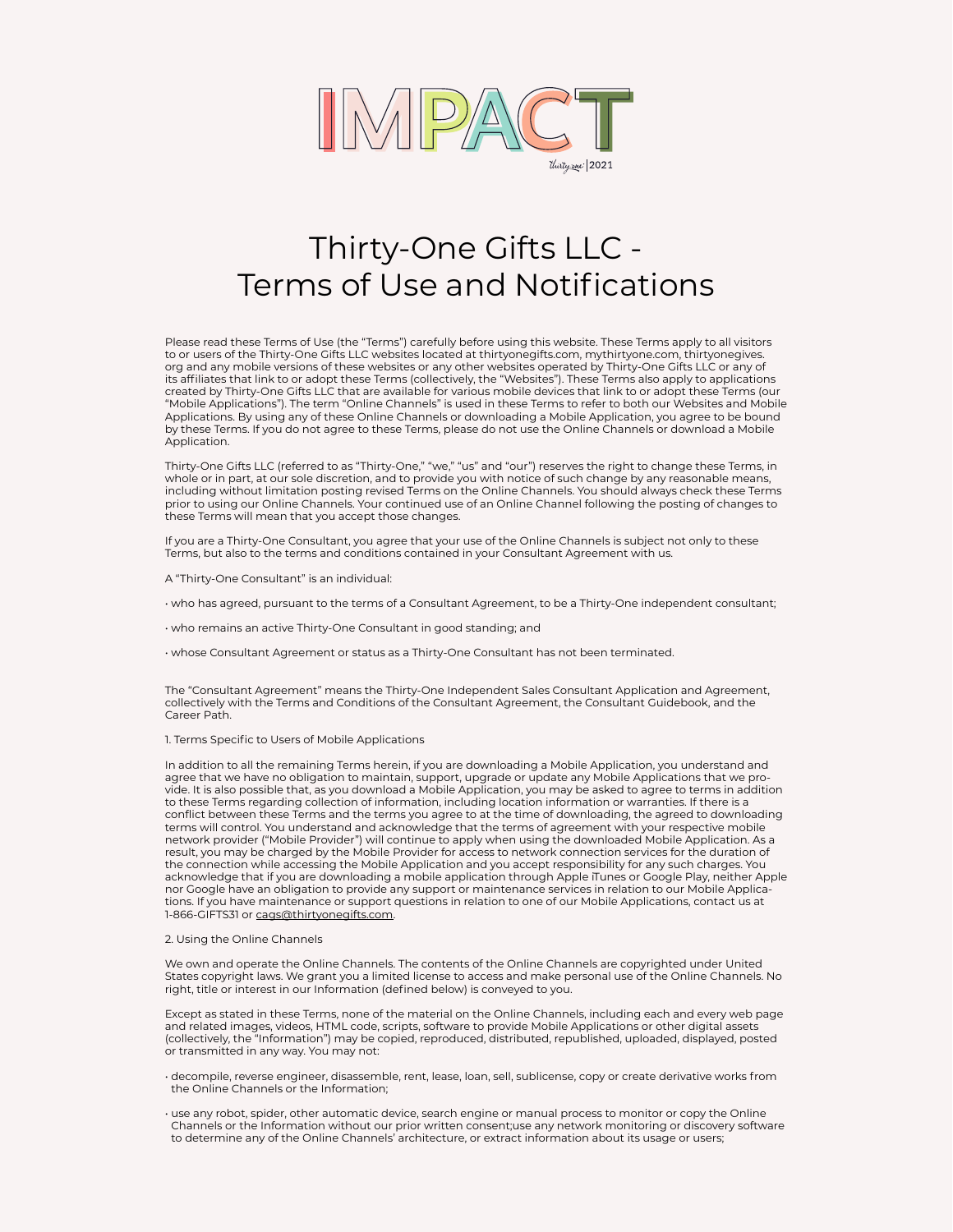

# Thirty-One Gifts LLC - Terms of Use and Notifications

Please read these Terms of Use (the "Terms") carefully before using this website. These Terms apply to all visitors to or users of the Thirty-One Gifts LLC websites located at thirtyonegifts.com, mythirtyone.com, thirtyonegives. org and any mobile versions of these websites or any other websites operated by Thirty-One Gifts LLC or any of its affiliates that link to or adopt these Terms (collectively, the "Websites"). These Terms also apply to applications created by Thirty-One Gifts LLC that are available for various mobile devices that link to or adopt these Terms (our "Mobile Applications"). The term "Online Channels" is used in these Terms to refer to both our Websites and Mobile Applications. By using any of these Online Channels or downloading a Mobile Application, you agree to be bound by these Terms. If you do not agree to these Terms, please do not use the Online Channels or download a Mobile Application.

Thirty-One Gifts LLC (referred to as "Thirty-One," "we," "us" and "our") reserves the right to change these Terms, in whole or in part, at our sole discretion, and to provide you with notice of such change by any reasonable means, including without limitation posting revised Terms on the Online Channels. You should always check these Terms prior to using our Online Channels. Your continued use of an Online Channel following the posting of changes to these Terms will mean that you accept those changes.

If you are a Thirty-One Consultant, you agree that your use of the Online Channels is subject not only to these Terms, but also to the terms and conditions contained in your Consultant Agreement with us.

A "Thirty-One Consultant" is an individual:

• who has agreed, pursuant to the terms of a Consultant Agreement, to be a Thirty-One independent consultant;

• who remains an active Thirty-One Consultant in good standing; and

• whose Consultant Agreement or status as a Thirty-One Consultant has not been terminated.

The "Consultant Agreement" means the Thirty-One Independent Sales Consultant Application and Agreement, collectively with the Terms and Conditions of the Consultant Agreement, the Consultant Guidebook, and the Career Path.

### 1. Terms Specific to Users of Mobile Applications

In addition to all the remaining Terms herein, if you are downloading a Mobile Application, you understand and agree that we have no obligation to maintain, support, upgrade or update any Mobile Applications that we provide. It is also possible that, as you download a Mobile Application, you may be asked to agree to terms in addition to these Terms regarding collection of information, including location information or warranties. If there is a conflict between these Terms and the terms you agree to at the time of downloading, the agreed to downloading terms will control. You understand and acknowledge that the terms of agreement with your respective mobile network provider ("Mobile Provider") will continue to apply when using the downloaded Mobile Application. As a result, you may be charged by the Mobile Provider for access to network connection services for the duration of the connection while accessing the Mobile Application and you accept responsibility for any such charges. You acknowledge that if you are downloading a mobile application through Apple iTunes or Google Play, neither Apple nor Google have an obligation to provide any support or maintenance services in relation to our Mobile Applications. If you have maintenance or support questions in relation to one of our Mobile Applications, contact us at 1-866-GIFTS31 or cags@thirtyonegifts.com.

## 2. Using the Online Channels

We own and operate the Online Channels. The contents of the Online Channels are copyrighted under United States copyright laws. We grant you a limited license to access and make personal use of the Online Channels. No right, title or interest in our Information (defined below) is conveyed to you.

Except as stated in these Terms, none of the material on the Online Channels, including each and every web page and related images, videos, HTML code, scripts, software to provide Mobile Applications or other digital assets (collectively, the "Information") may be copied, reproduced, distributed, republished, uploaded, displayed, posted or transmitted in any way. You may not:

• decompile, reverse engineer, disassemble, rent, lease, loan, sell, sublicense, copy or create derivative works from the Online Channels or the Information;

• use any robot, spider, other automatic device, search engine or manual process to monitor or copy the Online Channels or the Information without our prior written consent;use any network monitoring or discovery software to determine any of the Online Channels' architecture, or extract information about its usage or users;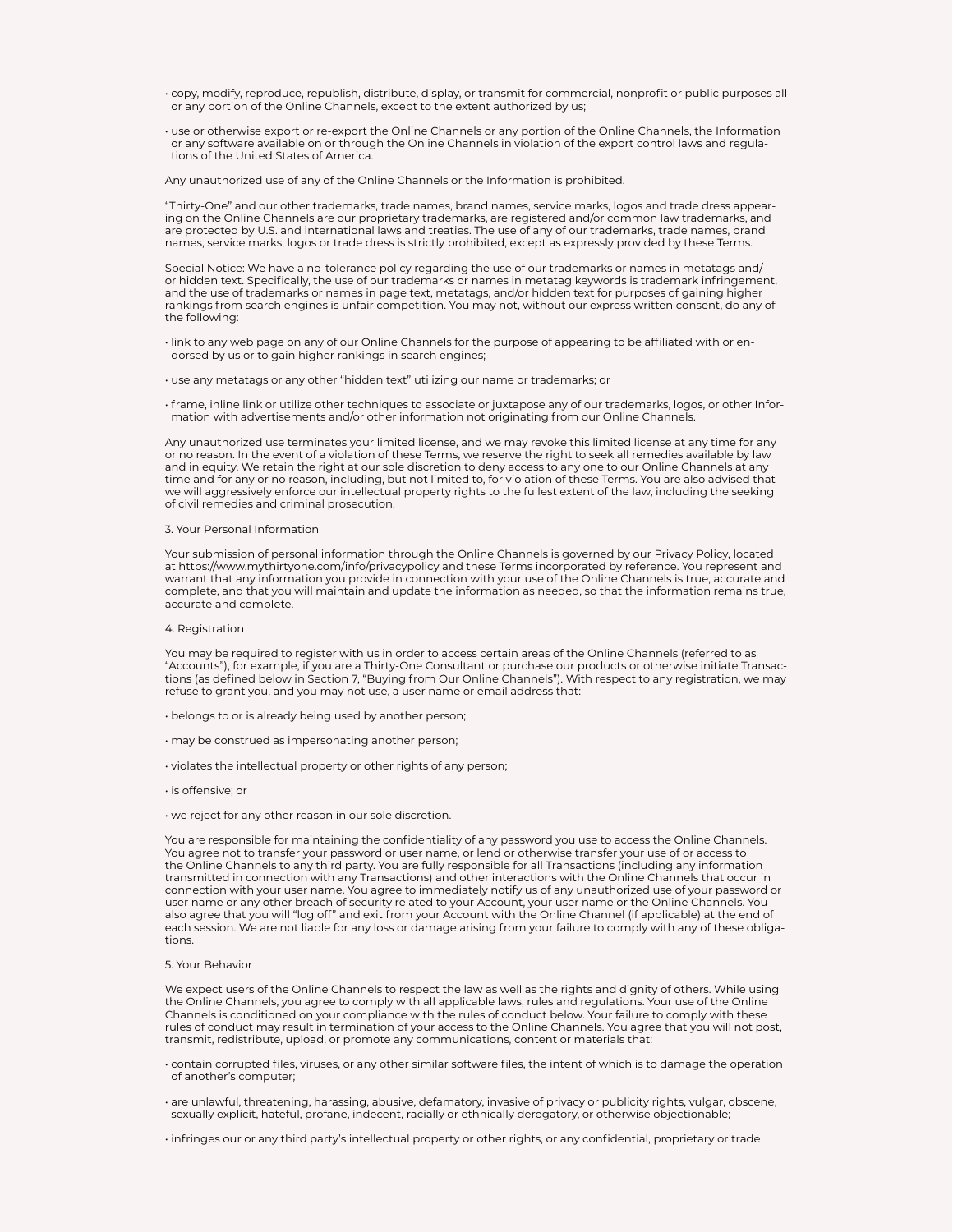- copy, modify, reproduce, republish, distribute, display, or transmit for commercial, nonprofit or public purposes all or any portion of the Online Channels, except to the extent authorized by us;
- use or otherwise export or re-export the Online Channels or any portion of the Online Channels, the Information or any software available on or through the Online Channels in violation of the export control laws and regulations of the United States of America.

Any unauthorized use of any of the Online Channels or the Information is prohibited.

"Thirty-One" and our other trademarks, trade names, brand names, service marks, logos and trade dress appearing on the Online Channels are our proprietary trademarks, are registered and/or common law trademarks, and are protected by U.S. and international laws and treaties. The use of any of our trademarks, trade names, brand names, service marks, logos or trade dress is strictly prohibited, except as expressly provided by these Terms.

Special Notice: We have a no-tolerance policy regarding the use of our trademarks or names in metatags and/ or hidden text. Specifically, the use of our trademarks or names in metatag keywords is trademark infringement, and the use of trademarks or names in page text, metatags, and/or hidden text for purposes of gaining higher rankings from search engines is unfair competition. You may not, without our express written consent, do any of the following:

• link to any web page on any of our Online Channels for the purpose of appearing to be affiliated with or endorsed by us or to gain higher rankings in search engines;

- use any metatags or any other "hidden text" utilizing our name or trademarks; or
- frame, inline link or utilize other techniques to associate or juxtapose any of our trademarks, logos, or other Information with advertisements and/or other information not originating from our Online Channels.

Any unauthorized use terminates your limited license, and we may revoke this limited license at any time for any or no reason. In the event of a violation of these Terms, we reserve the right to seek all remedies available by law and in equity. We retain the right at our sole discretion to deny access to any one to our Online Channels at any time and for any or no reason, including, but not limited to, for violation of these Terms. You are also advised that we will aggressively enforce our intellectual property rights to the fullest extent of the law, including the seeking of civil remedies and criminal prosecution.

## 3. Your Personal Information

Your submission of personal information through the Online Channels is governed by our Privacy Policy, located at https://www.mythirtyone.com/info/privacypolicy and these Terms incorporated by reference. You represent and warrant that any information you provide in connection with your use of the Online Channels is true, accurate and complete, and that you will maintain and update the information as needed, so that the information remains true, accurate and complete.

#### 4. Registration

You may be required to register with us in order to access certain areas of the Online Channels (referred to as "Accounts"), for example, if you are a Thirty-One Consultant or purchase our products or otherwise initiate Transactions (as defined below in Section 7, "Buying from Our Online Channels"). With respect to any registration, we may refuse to grant you, and you may not use, a user name or email address that:

- belongs to or is already being used by another person;
- may be construed as impersonating another person;
- violates the intellectual property or other rights of any person;
- is offensive; or
- we reject for any other reason in our sole discretion.

You are responsible for maintaining the confidentiality of any password you use to access the Online Channels. You agree not to transfer your password or user name, or lend or otherwise transfer your use of or access to the Online Channels to any third party. You are fully responsible for all Transactions (including any information transmitted in connection with any Transactions) and other interactions with the Online Channels that occur in connection with your user name. You agree to immediately notify us of any unauthorized use of your password or user name or any other breach of security related to your Account, your user name or the Online Channels. You also agree that you will "log off" and exit from your Account with the Online Channel (if applicable) at the end of each session. We are not liable for any loss or damage arising from your failure to comply with any of these obligations.

# 5. Your Behavior

We expect users of the Online Channels to respect the law as well as the rights and dignity of others. While using the Online Channels, you agree to comply with all applicable laws, rules and regulations. Your use of the Online Channels is conditioned on your compliance with the rules of conduct below. Your failure to comply with these rules of conduct may result in termination of your access to the Online Channels. You agree that you will not post, transmit, redistribute, upload, or promote any communications, content or materials that:

• contain corrupted files, viruses, or any other similar software files, the intent of which is to damage the operation of another's computer;

• are unlawful, threatening, harassing, abusive, defamatory, invasive of privacy or publicity rights, vulgar, obscene, sexually explicit, hateful, profane, indecent, racially or ethnically derogatory, or otherwise objectionable;

• infringes our or any third party's intellectual property or other rights, or any confidential, proprietary or trade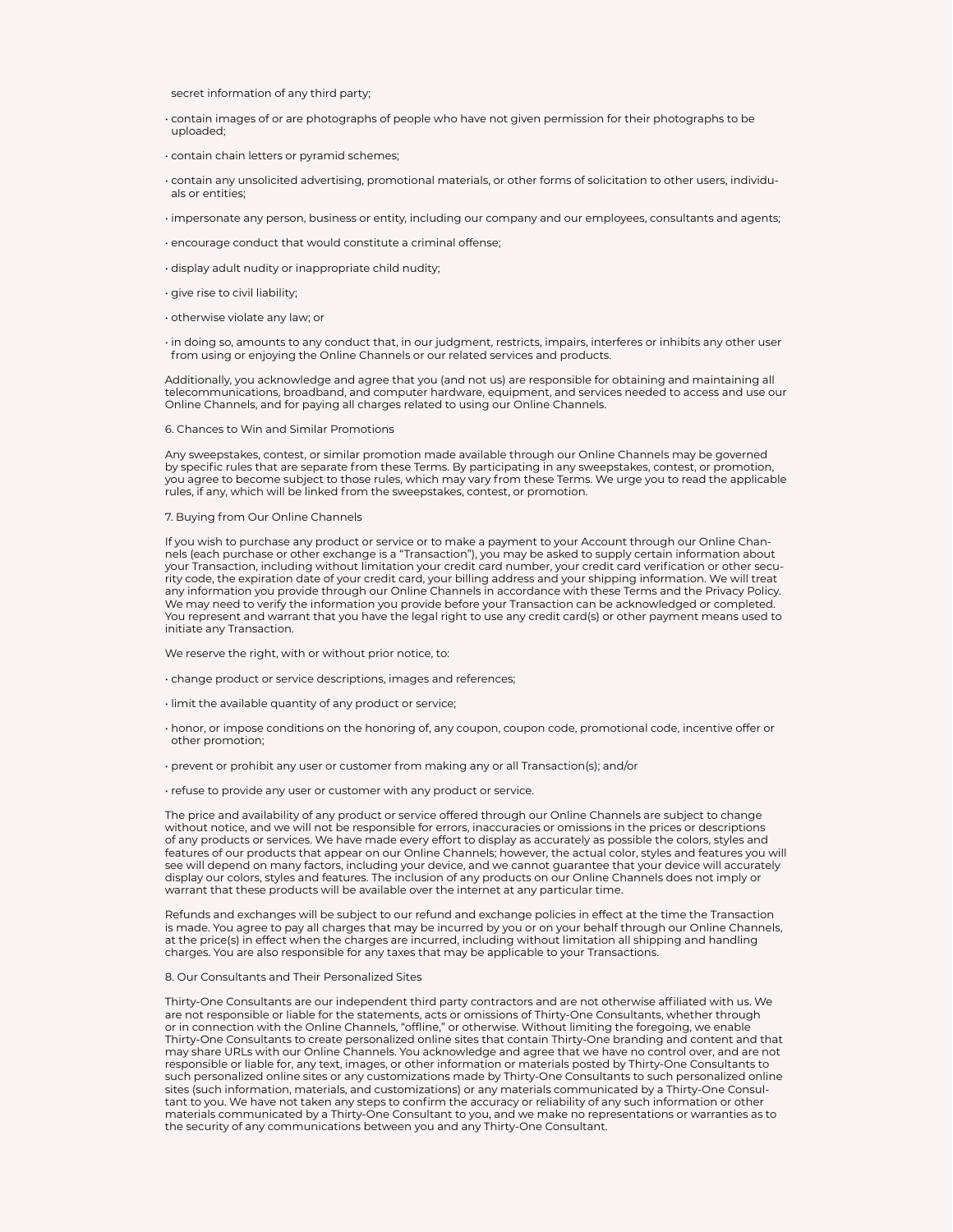secret information of any third party;

- contain images of or are photographs of people who have not given permission for their photographs to be uploaded;
- contain chain letters or pyramid schemes;
- contain any unsolicited advertising, promotional materials, or other forms of solicitation to other users, individuals or entities;
- impersonate any person, business or entity, including our company and our employees, consultants and agents;
- encourage conduct that would constitute a criminal offense;
- display adult nudity or inappropriate child nudity;
- give rise to civil liability;
- otherwise violate any law; or

• in doing so, amounts to any conduct that, in our judgment, restricts, impairs, interferes or inhibits any other user from using or enjoying the Online Channels or our related services and products.

Additionally, you acknowledge and agree that you (and not us) are responsible for obtaining and maintaining all telecommunications, broadband, and computer hardware, equipment, and services needed to access and use our Online Channels, and for paying all charges related to using our Online Channels.

#### 6. Chances to Win and Similar Promotions

Any sweepstakes, contest, or similar promotion made available through our Online Channels may be governed by specific rules that are separate from these Terms. By participating in any sweepstakes, contest, or promotion, you agree to become subject to those rules, which may vary from these Terms. We urge you to read the applicable rules, if any, which will be linked from the sweepstakes, contest, or promotion.

#### 7. Buying from Our Online Channels

If you wish to purchase any product or service or to make a payment to your Account through our Online Channels (each purchase or other exchange is a "Transaction"), you may be asked to supply certain information about your Transaction, including without limitation your credit card number, your credit card verification or other security code, the expiration date of your credit card, your billing address and your shipping information. We will treat any information you provide through our Online Channels in accordance with these Terms and the Privacy Policy. We may need to verify the information you provide before your Transaction can be acknowledged or completed. You represent and warrant that you have the legal right to use any credit card(s) or other payment means used to initiate any Transaction.

We reserve the right, with or without prior notice, to:

- change product or service descriptions, images and references;
- limit the available quantity of any product or service;
- honor, or impose conditions on the honoring of, any coupon, coupon code, promotional code, incentive offer or other promotion;
- prevent or prohibit any user or customer from making any or all Transaction(s); and/or
- refuse to provide any user or customer with any product or service.

The price and availability of any product or service offered through our Online Channels are subject to change without notice, and we will not be responsible for errors, inaccuracies or omissions in the prices or descriptions of any products or services. We have made every effort to display as accurately as possible the colors, styles and features of our products that appear on our Online Channels; however, the actual color, styles and features you will see will depend on many factors, including your device, and we cannot guarantee that your device will accurately display our colors, styles and features. The inclusion of any products on our Online Channels does not imply or warrant that these products will be available over the internet at any particular time.

Refunds and exchanges will be subject to our refund and exchange policies in effect at the time the Transaction is made. You agree to pay all charges that may be incurred by you or on your behalf through our Online Channels, at the price(s) in effect when the charges are incurred, including without limitation all shipping and handling charges. You are also responsible for any taxes that may be applicable to your Transactions.

# 8. Our Consultants and Their Personalized Sites

Thirty-One Consultants are our independent third party contractors and are not otherwise affiliated with us. We are not responsible or liable for the statements, acts or omissions of Thirty-One Consultants, whether through or in connection with the Online Channels, "offline," or otherwise. Without limiting the foregoing, we enable Thirty-One Consultants to create personalized online sites that contain Thirty-One branding and content and that may share URLs with our Online Channels. You acknowledge and agree that we have no control over, and are not responsible or liable for, any text, images, or other information or materials posted by Thirty-One Consultants to such personalized online sites or any customizations made by Thirty-One Consultants to such personalized online sites (such information, materials, and customizations) or any materials communicated by a Thirty-One Consultant to you. We have not taken any steps to confirm the accuracy or reliability of any such information or other materials communicated by a Thirty-One Consultant to you, and we make no representations or warranties as to the security of any communications between you and any Thirty-One Consultant.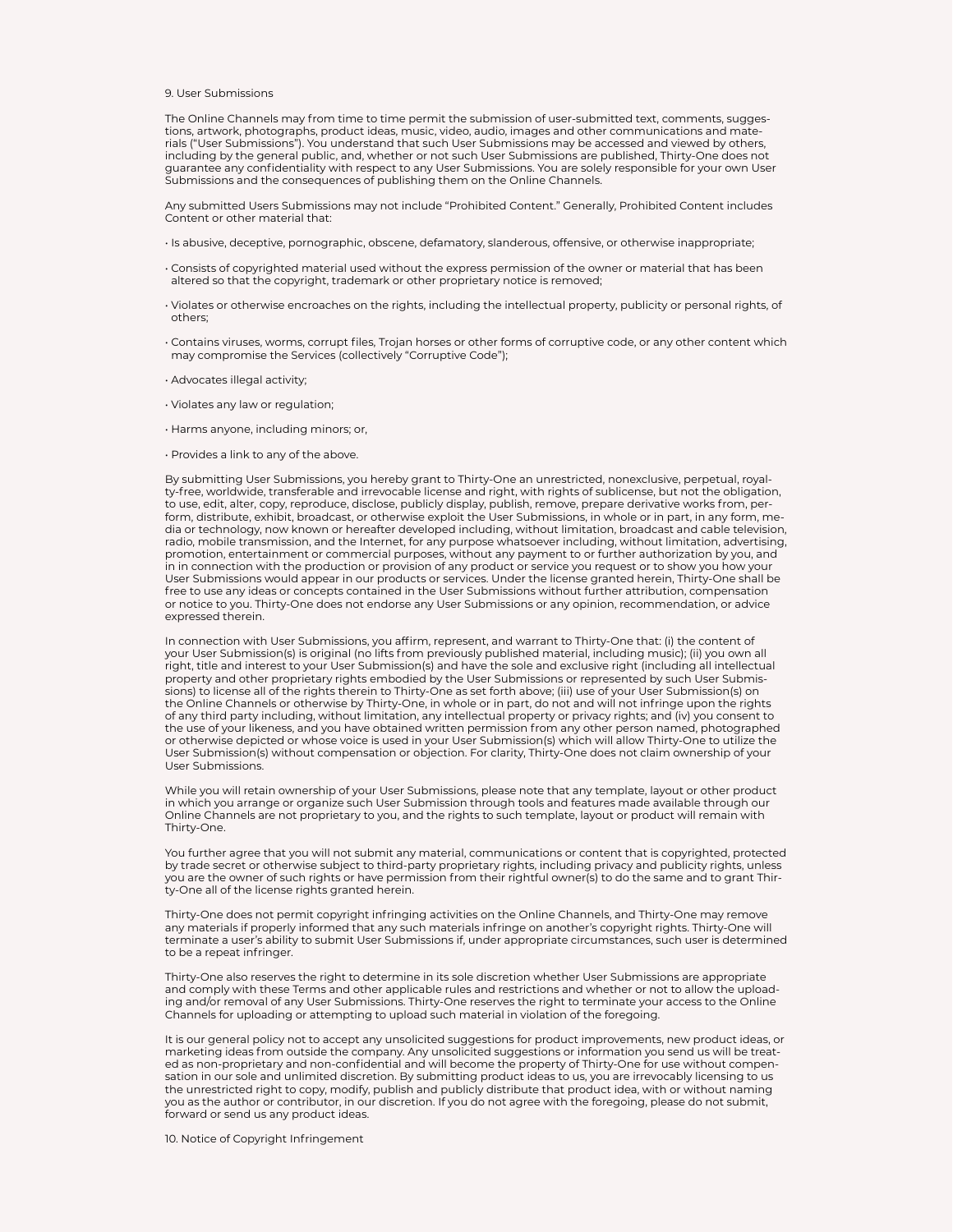## 9. User Submissions

The Online Channels may from time to time permit the submission of user-submitted text, comments, suggestions, artwork, photographs, product ideas, music, video, audio, images and other communications and materials ("User Submissions"). You understand that such User Submissions may be accessed and viewed by others, including by the general public, and, whether or not such User Submissions are published, Thirty-One does not guarantee any confidentiality with respect to any User Submissions. You are solely responsible for your own User Submissions and the consequences of publishing them on the Online Channels.

Any submitted Users Submissions may not include "Prohibited Content." Generally, Prohibited Content includes Content or other material that:

- Is abusive, deceptive, pornographic, obscene, defamatory, slanderous, offensive, or otherwise inappropriate;
- Consists of copyrighted material used without the express permission of the owner or material that has been altered so that the copyright, trademark or other proprietary notice is removed;
- Violates or otherwise encroaches on the rights, including the intellectual property, publicity or personal rights, of others;
- Contains viruses, worms, corrupt files, Trojan horses or other forms of corruptive code, or any other content which may compromise the Services (collectively "Corruptive Code");
- Advocates illegal activity;
- Violates any law or regulation;
- Harms anyone, including minors; or,
- Provides a link to any of the above.

By submitting User Submissions, you hereby grant to Thirty-One an unrestricted, nonexclusive, perpetual, royalty-free, worldwide, transferable and irrevocable license and right, with rights of sublicense, but not the obligation, to use, edit, alter, copy, reproduce, disclose, publicly display, publish, remove, prepare derivative works from, perform, distribute, exhibit, broadcast, or otherwise exploit the User Submissions, in whole or in part, in any form, media or technology, now known or hereafter developed including, without limitation, broadcast and cable television, radio, mobile transmission, and the Internet, for any purpose whatsoever including, without limitation, advertising, promotion, entertainment or commercial purposes, without any payment to or further authorization by you, and in in connection with the production or provision of any product or service you request or to show you how your User Submissions would appear in our products or services. Under the license granted herein, Thirty-One shall be free to use any ideas or concepts contained in the User Submissions without further attribution, compensation or notice to you. Thirty-One does not endorse any User Submissions or any opinion, recommendation, or advice expressed therein.

In connection with User Submissions, you affirm, represent, and warrant to Thirty-One that: (i) the content of your User Submission(s) is original (no lifts from previously published material, including music); (ii) you own all right, title and interest to your User Submission(s) and have the sole and exclusive right (including all intellectual property and other proprietary rights embodied by the User Submissions or represented by such User Submissions) to license all of the rights therein to Thirty-One as set forth above; (iii) use of your User Submission(s) on the Online Channels or otherwise by Thirty-One, in whole or in part, do not and will not infringe upon the rights of any third party including, without limitation, any intellectual property or privacy rights; and (iv) you consent to the use of your likeness, and you have obtained written permission from any other person named, photographed or otherwise depicted or whose voice is used in your User Submission(s) which will allow Thirty-One to utilize the User Submission(s) without compensation or objection. For clarity, Thirty-One does not claim ownership of your User Submissions.

While you will retain ownership of your User Submissions, please note that any template, layout or other product in which you arrange or organize such User Submission through tools and features made available through our Online Channels are not proprietary to you, and the rights to such template, layout or product will remain with Thirty-One.

You further agree that you will not submit any material, communications or content that is copyrighted, protected by trade secret or otherwise subject to third-party proprietary rights, including privacy and publicity rights, unless you are the owner of such rights or have permission from their rightful owner(s) to do the same and to grant Thirty-One all of the license rights granted herein.

Thirty-One does not permit copyright infringing activities on the Online Channels, and Thirty-One may remove any materials if properly informed that any such materials infringe on another's copyright rights. Thirty-One will terminate a user's ability to submit User Submissions if, under appropriate circumstances, such user is determined to be a repeat infringer.

Thirty-One also reserves the right to determine in its sole discretion whether User Submissions are appropriate and comply with these Terms and other applicable rules and restrictions and whether or not to allow the uploading and/or removal of any User Submissions. Thirty-One reserves the right to terminate your access to the Online Channels for uploading or attempting to upload such material in violation of the foregoing.

It is our general policy not to accept any unsolicited suggestions for product improvements, new product ideas, or marketing ideas from outside the company. Any unsolicited suggestions or information you send us will be treated as non-proprietary and non-confidential and will become the property of Thirty-One for use without compensation in our sole and unlimited discretion. By submitting product ideas to us, you are irrevocably licensing to us the unrestricted right to copy, modify, publish and publicly distribute that product idea, with or without naming you as the author or contributor, in our discretion. If you do not agree with the foregoing, please do not submit, forward or send us any product ideas.

10. Notice of Copyright Infringement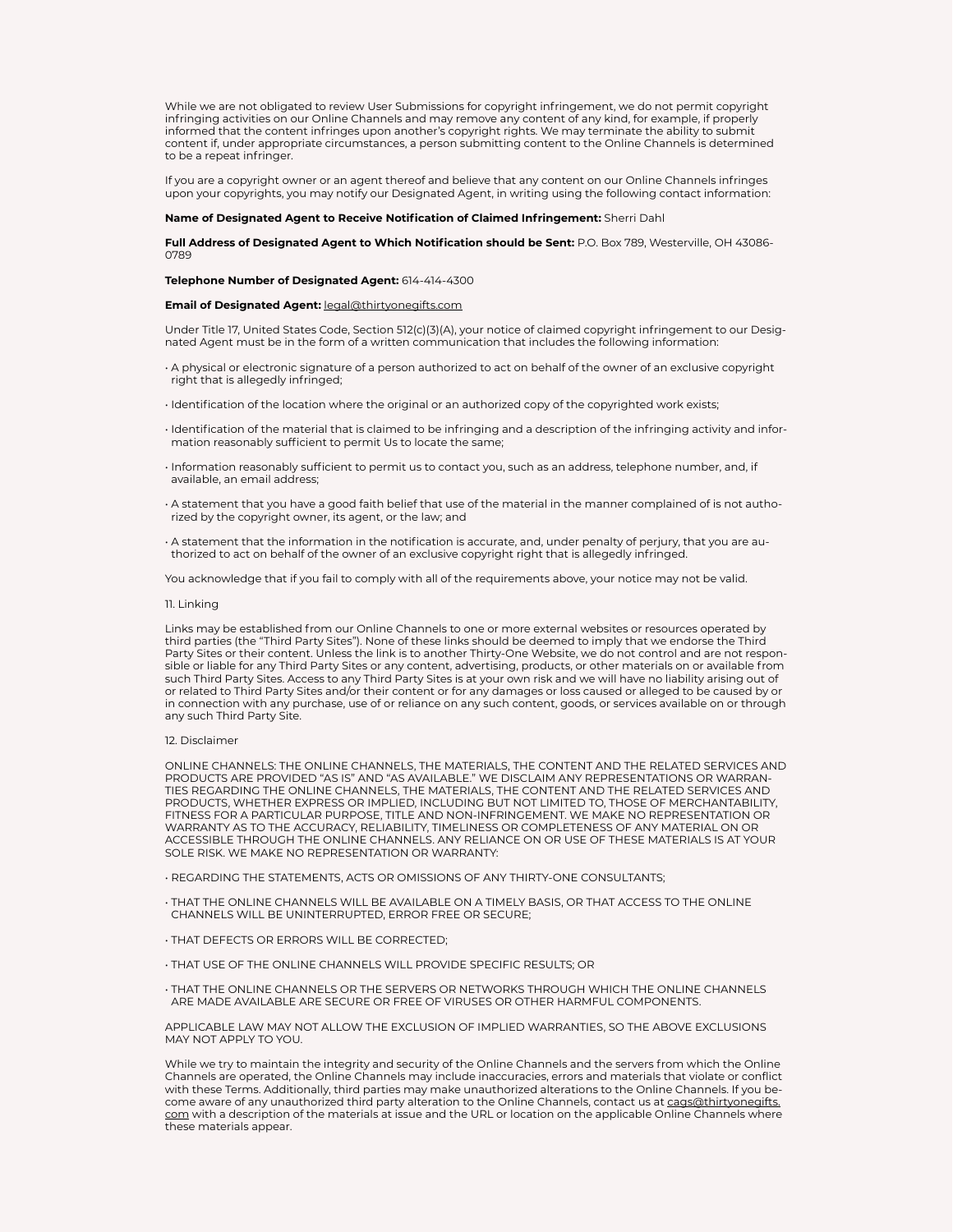While we are not obligated to review User Submissions for copyright infringement, we do not permit copyright infringing activities on our Online Channels and may remove any content of any kind, for example, if properly informed that the content infringes upon another's copyright rights. We may terminate the ability to submit content if, under appropriate circumstances, a person submitting content to the Online Channels is determined to be a repeat infringer.

If you are a copyright owner or an agent thereof and believe that any content on our Online Channels infringes upon your copyrights, you may notify our Designated Agent, in writing using the following contact information:

# **Name of Designated Agent to Receive Notification of Claimed Infringement:** Sherri Dahl

**Full Address of Designated Agent to Which Notification should be Sent:** P.O. Box 789, Westerville, OH 43086- 0789

**Telephone Number of Designated Agent:** 614-414-4300

# **Email of Designated Agent:** legal@thirtyonegifts.com

Under Title 17, United States Code, Section 512(c)(3)(A), your notice of claimed copyright infringement to our Designated Agent must be in the form of a written communication that includes the following information:

- A physical or electronic signature of a person authorized to act on behalf of the owner of an exclusive copyright right that is allegedly infringed;
- Identification of the location where the original or an authorized copy of the copyrighted work exists;
- Identification of the material that is claimed to be infringing and a description of the infringing activity and information reasonably sufficient to permit Us to locate the same;
- Information reasonably sufficient to permit us to contact you, such as an address, telephone number, and, if available, an email address;
- A statement that you have a good faith belief that use of the material in the manner complained of is not authorized by the copyright owner, its agent, or the law; and
- A statement that the information in the notification is accurate, and, under penalty of perjury, that you are authorized to act on behalf of the owner of an exclusive copyright right that is allegedly infringed.

You acknowledge that if you fail to comply with all of the requirements above, your notice may not be valid.

#### 11. Linking

Links may be established from our Online Channels to one or more external websites or resources operated by third parties (the "Third Party Sites"). None of these links should be deemed to imply that we endorse the Third Party Sites or their content. Unless the link is to another Thirty-One Website, we do not control and are not responsible or liable for any Third Party Sites or any content, advertising, products, or other materials on or available from such Third Party Sites. Access to any Third Party Sites is at your own risk and we will have no liability arising out of or related to Third Party Sites and/or their content or for any damages or loss caused or alleged to be caused by or in connection with any purchase, use of or reliance on any such content, goods, or services available on or through any such Third Party Site.

### 12. Disclaimer

ONLINE CHANNELS: THE ONLINE CHANNELS, THE MATERIALS, THE CONTENT AND THE RELATED SERVICES AND PRODUCTS ARE PROVIDED "AS IS" AND "AS AVAILABLE." WE DISCLAIM ANY REPRESENTATIONS OR WARRAN-TIES REGARDING THE ONLINE CHANNELS, THE MATERIALS, THE CONTENT AND THE RELATED SERVICES AND PRODUCTS, WHETHER EXPRESS OR IMPLIED, INCLUDING BUT NOT LIMITED TO, THOSE OF MERCHANTABILITY, FITNESS FOR A PARTICULAR PURPOSE, TITLE AND NON-INFRINGEMENT. WE MAKE NO REPRESENTATION OR WARRANTY AS TO THE ACCURACY, RELIABILITY, TIMELINESS OR COMPLETENESS OF ANY MATERIAL ON OR ACCESSIBLE THROUGH THE ONLINE CHANNELS. ANY RELIANCE ON OR USE OF THESE MATERIALS IS AT YOUR SOLE RISK. WE MAKE NO REPRESENTATION OR WARRANTY:

• REGARDING THE STATEMENTS, ACTS OR OMISSIONS OF ANY THIRTY-ONE CONSULTANTS;

- THAT THE ONLINE CHANNELS WILL BE AVAILABLE ON A TIMELY BASIS, OR THAT ACCESS TO THE ONLINE CHANNELS WILL BE UNINTERRUPTED, ERROR FREE OR SECURE;
- THAT DEFECTS OR ERRORS WILL BE CORRECTED;
- THAT USE OF THE ONLINE CHANNELS WILL PROVIDE SPECIFIC RESULTS; OR
- THAT THE ONLINE CHANNELS OR THE SERVERS OR NETWORKS THROUGH WHICH THE ONLINE CHANNELS ARE MADE AVAILABLE ARE SECURE OR FREE OF VIRUSES OR OTHER HARMFUL COMPONENTS.

APPLICABLE LAW MAY NOT ALLOW THE EXCLUSION OF IMPLIED WARRANTIES, SO THE ABOVE EXCLUSIONS MAY NOT APPLY TO YOU.

While we try to maintain the integrity and security of the Online Channels and the servers from which the Online Channels are operated, the Online Channels may include inaccuracies, errors and materials that violate or conflict with these Terms. Additionally, third parties may make unauthorized alterations to the Online Channels. If you become aware of any unauthorized third party alteration to the Online Channels, contact us at cags@thirtyonegifts. com with a description of the materials at issue and the URL or location on the applicable Online Channels where these materials appear.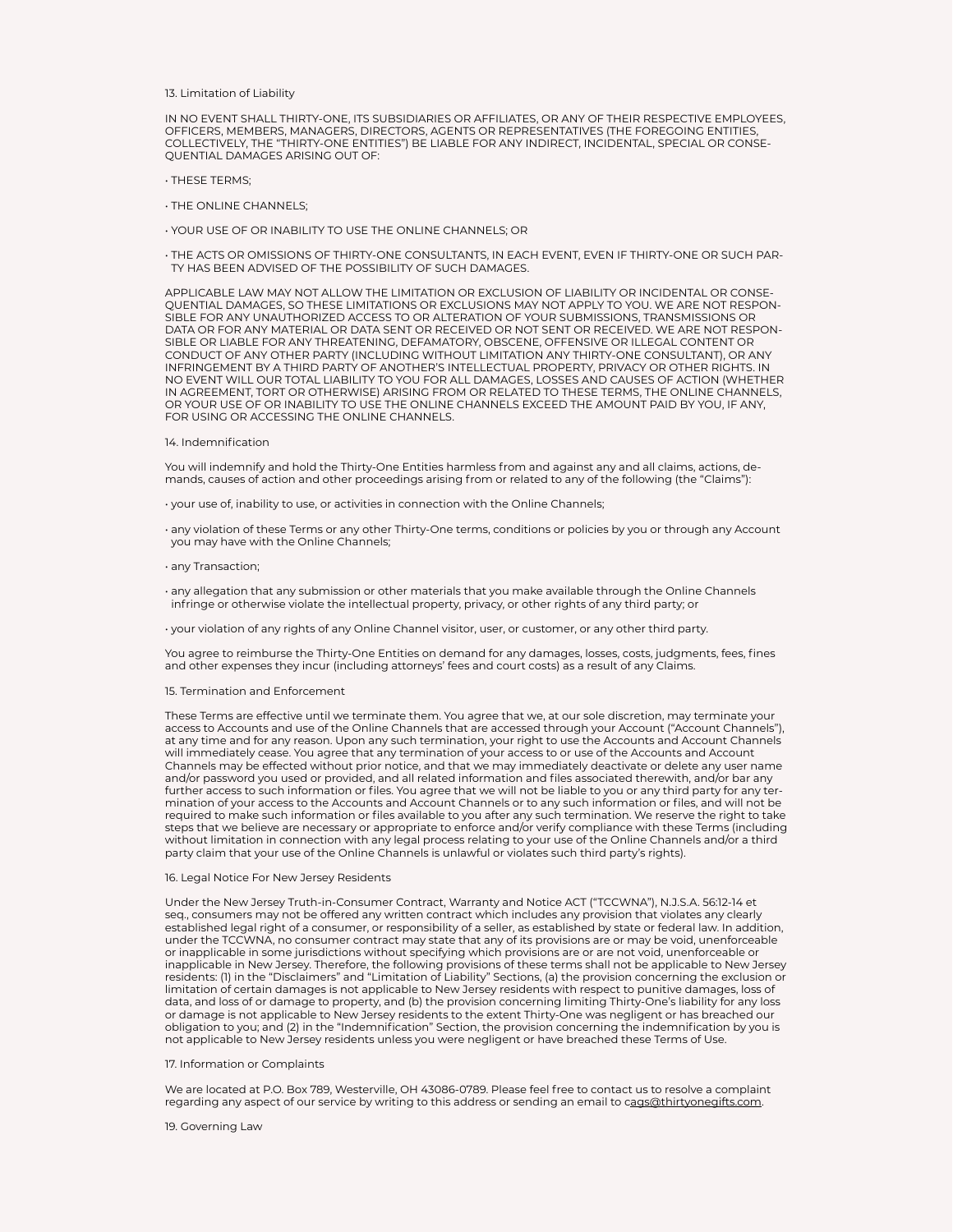13. Limitation of Liability

IN NO EVENT SHALL THIRTY-ONE, ITS SUBSIDIARIES OR AFFILIATES, OR ANY OF THEIR RESPECTIVE EMPLOYEES, OFFICERS, MEMBERS, MANAGERS, DIRECTORS, AGENTS OR REPRESENTATIVES (THE FOREGOING ENTITIES, COLLECTIVELY, THE "THIRTY-ONE ENTITIES") BE LIABLE FOR ANY INDIRECT, INCIDENTAL, SPECIAL OR CONSE-QUENTIAL DAMAGES ARISING OUT OF:

- THESE TERMS;
- THE ONLINE CHANNELS;
- YOUR USE OF OR INABILITY TO USE THE ONLINE CHANNELS; OR

• THE ACTS OR OMISSIONS OF THIRTY-ONE CONSULTANTS, IN EACH EVENT, EVEN IF THIRTY-ONE OR SUCH PAR-TY HAS BEEN ADVISED OF THE POSSIBILITY OF SUCH DAMAGES.

APPLICABLE LAW MAY NOT ALLOW THE LIMITATION OR EXCLUSION OF LIABILITY OR INCIDENTAL OR CONSE-QUENTIAL DAMAGES, SO THESE LIMITATIONS OR EXCLUSIONS MAY NOT APPLY TO YOU. WE ARE NOT RESPON-SIBLE FOR ANY UNAUTHORIZED ACCESS TO OR ALTERATION OF YOUR SUBMISSIONS, TRANSMISSIONS OR DATA OR FOR ANY MATERIAL OR DATA SENT OR RECEIVED OR NOT SENT OR RECEIVED. WE ARE NOT RESPON-SIBLE OR LIABLE FOR ANY THREATENING, DEFAMATORY, OBSCENE, OFFENSIVE OR ILLEGAL CONTENT OR CONDUCT OF ANY OTHER PARTY (INCLUDING WITHOUT LIMITATION ANY THIRTY-ONE CONSULTANT), OR ANY INFRINGEMENT BY A THIRD PARTY OF ANOTHER'S INTELLECTUAL PROPERTY, PRIVACY OR OTHER RIGHTS. IN NO EVENT WILL OUR TOTAL LIABILITY TO YOU FOR ALL DAMAGES, LOSSES AND CAUSES OF ACTION (WHETHER IN AGREEMENT, TORT OR OTHERWISE) ARISING FROM OR RELATED TO THESE TERMS, THE ONLINE CHANNELS, OR YOUR USE OF OR INABILITY TO USE THE ONLINE CHANNELS EXCEED THE AMOUNT PAID BY YOU, IF ANY, FOR USING OR ACCESSING THE ONLINE CHANNELS.

## 14. Indemnification

You will indemnify and hold the Thirty-One Entities harmless from and against any and all claims, actions, demands, causes of action and other proceedings arising from or related to any of the following (the "Claims"):

- your use of, inability to use, or activities in connection with the Online Channels;
- any violation of these Terms or any other Thirty-One terms, conditions or policies by you or through any Account you may have with the Online Channels;
- any Transaction;
- any allegation that any submission or other materials that you make available through the Online Channels infringe or otherwise violate the intellectual property, privacy, or other rights of any third party; or

• your violation of any rights of any Online Channel visitor, user, or customer, or any other third party.

You agree to reimburse the Thirty-One Entities on demand for any damages, losses, costs, judgments, fees, fines and other expenses they incur (including attorneys' fees and court costs) as a result of any Claims.

## 15. Termination and Enforcement

These Terms are effective until we terminate them. You agree that we, at our sole discretion, may terminate your access to Accounts and use of the Online Channels that are accessed through your Account ("Account Channels"), at any time and for any reason. Upon any such termination, your right to use the Accounts and Account Channels will immediately cease. You agree that any termination of your access to or use of the Accounts and Account Channels may be effected without prior notice, and that we may immediately deactivate or delete any user name and/or password you used or provided, and all related information and files associated therewith, and/or bar any further access to such information or files. You agree that we will not be liable to you or any third party for any termination of your access to the Accounts and Account Channels or to any such information or files, and will not be required to make such information or files available to you after any such termination. We reserve the right to take steps that we believe are necessary or appropriate to enforce and/or verify compliance with these Terms (including without limitation in connection with any legal process relating to your use of the Online Channels and/or a third party claim that your use of the Online Channels is unlawful or violates such third party's rights).

#### 16. Legal Notice For New Jersey Residents

Under the New Jersey Truth-in-Consumer Contract, Warranty and Notice ACT ("TCCWNA"), N.J.S.A. 56:12-14 et seq., consumers may not be offered any written contract which includes any provision that violates any clearly established legal right of a consumer, or responsibility of a seller, as established by state or federal law. In addition, under the TCCWNA, no consumer contract may state that any of its provisions are or may be void, unenforceable or inapplicable in some jurisdictions without specifying which provisions are or are not void, unenforceable or inapplicable in New Jersey. Therefore, the following provisions of these terms shall not be applicable to New Jersey residents: (1) in the "Disclaimers" and "Limitation of Liability" Sections, (a) the provision concerning the exclusion or limitation of certain damages is not applicable to New Jersey residents with respect to punitive damages, loss of data, and loss of or damage to property, and (b) the provision concerning limiting Thirty-One's liability for any loss or damage is not applicable to New Jersey residents to the extent Thirty-One was negligent or has breached our obligation to you; and (2) in the "Indemnification" Section, the provision concerning the indemnification by you is not applicable to New Jersey residents unless you were negligent or have breached these Terms of Use.

# 17. Information or Complaints

We are located at P.O. Box 789, Westerville, OH 43086-0789. Please feel free to contact us to resolve a complaint regarding any aspect of our service by writing to this address or sending an email to cags@thirtyonegifts.com.

# 19. Governing Law